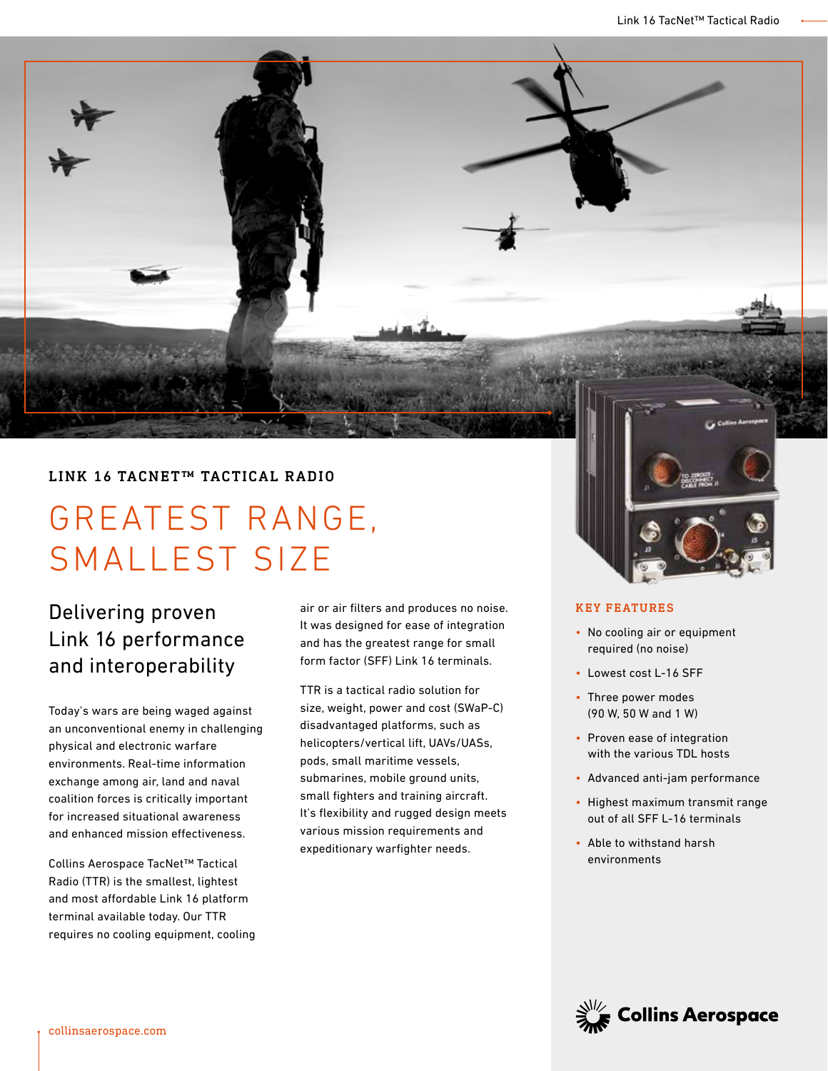### LINK 16 TACNET™ TACTICAL RADIO

# GREATEST RANGE, SMALLEST SIZE

## Delivering proven Link 16 performance and interoperability

Today's wars are being waged against an unconventional enemy in challenging physical and electronic warfare environments. Real-time information exchange among air, land and naval coalition forces is critically important for increased situational awareness and enhanced mission effectiveness.

Collins Aerospace TacNet™ Tactical Radio (TTR) is the smallest, lightest and most affordable Link 16 platform terminal available today. Our TTR requires no cooling equipment, cooling air or air filters and produces no noise. It was designed for ease of integration and has the greatest range for small form factor (SFF) Link 16 terminals.

TTR is a tactical radio solution for size, weight, power and cost (SWaP-C) disadvantaged platforms, such as helicopters/vertical lift, UAVs/UASs, pods, small maritime vessels, submarines, mobile ground units, small fighters and training aircraft. It's flexibility and rugged design meets various mission requirements and expeditionary warfighter needs.



#### KEY FEATURES

- No cooling air or equipment required (no noise)
- Lowest cost L-16 SFF
- Three power modes (90 W, 50 W and 1 W)
- Proven ease of integration with the various TDL hosts
- Advanced anti-jam performance
- Highest maximum transmit range out of all SFF L-16 terminals
- Able to withstand harsh environments